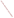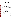## **ABSTRACT**

## **Reconciling Policy with Reality: Applying a Commonsense Interpretation of "Existing Use" for Recreation in a CSO-Impacted Urban Watershed**

By

Jodi Perras, Deputy Director for Policy and Planning, Indianapolis Department of Public Works Rosemary G. Spalding, J.D., Legal Counsel to the City of Indianapolis Robert J. Masbaum, P.E., Indianapolis Department of Public Works Scott T. Girman, P.E., Greeley and Hansen

The City of Indianapolis supports and upholds the principles underlying the Clean Water Act, including the antidegradation principle and the need to provide the greatest protection to existing uses of the nation's waterways. EPA's July 31, 2001, guidance document – Coordinating CSO Long-Term Planning with Water Quality Standards Review – specifically addresses the integration of "water quality standards reviews, implementation if high-priority CSO controls, and development of well-designed and operated LTCPs that support attainment of water quality standards without causing substantial widespread economic and social impacts."

Indianapolis is preparing a Long-Term Control Plan to address long-standing CSO problems, and an accompanying Use Attainability Analysis (UAA). The UAA will seek to demonstrate that any remaining CSO discharges will contribute to violations of water quality standards for bacteria, and that complete elimination of those discharges will cause widespread economic and social impacts on the community. Through the UAA, we will be proposing a temporary suspension of the designated full-body recreational use on CSO-impacted streams during and after wet-weather events.

As stated in EPA's Policy, "[a] state may remove a designated use from its water quality standards only if the designated use is not an existing use." An existing use is a use actually attained in the water body on or after November 28, 1975, whether or not they are included in the state's water quality standards. However, the term "actually attained" is not defined.

How should the City of Indianapolis and the State of Indiana determine whether a use has been "actually attained?" Urban waterways typically flow through residential neighborhoods and near parks, playgrounds and schools. We know that children wade, play and occasionally swim in some CSO-impacted streams. Is actual or occasional use of these waterways automatically an "existing recreational use?" In an urban watershed, we believe a number of factors should be considered in making this determination. These include the following:

Is the water quality and hydrology of the streams conducive to full-body contact recreation?